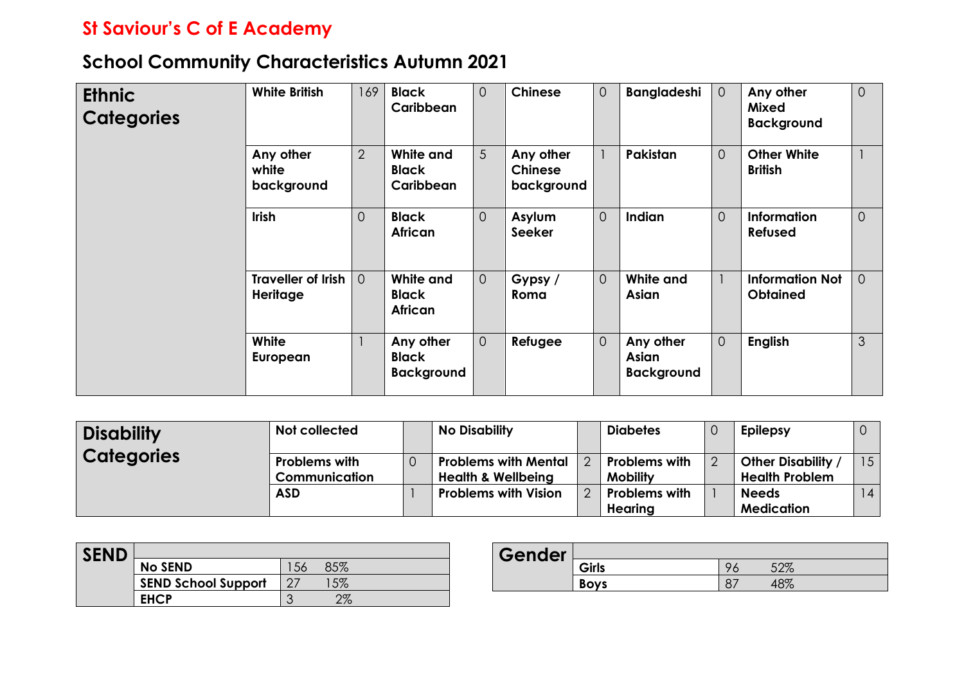## **St Saviour's C of E Academy**

## **School Community Characteristics Autumn 2021**

| <b>Ethnic</b><br><b>Categories</b> | <b>White British</b>                         | 169            | <b>Black</b><br>Caribbean                      | $\overline{O}$ | <b>Chinese</b>                            | $\overline{0}$ | <b>Bangladeshi</b>                      | $\overline{O}$ | Any other<br><b>Mixed</b><br><b>Background</b> | $\overline{0}$ |
|------------------------------------|----------------------------------------------|----------------|------------------------------------------------|----------------|-------------------------------------------|----------------|-----------------------------------------|----------------|------------------------------------------------|----------------|
|                                    | Any other<br>white<br>background             | $\overline{2}$ | White and<br><b>Black</b><br>Caribbean         | 5 <sup>5</sup> | Any other<br><b>Chinese</b><br>background | $\mathbf{1}$   | Pakistan                                | $\overline{0}$ | <b>Other White</b><br><b>British</b>           |                |
|                                    | <b>Irish</b>                                 | $\overline{0}$ | <b>Black</b><br><b>African</b>                 | $\overline{0}$ | <b>Asylum</b><br><b>Seeker</b>            | $\overline{0}$ | Indian                                  | $\overline{O}$ | <b>Information</b><br><b>Refused</b>           | $\Omega$       |
|                                    | <b>Traveller of Irish</b><br><b>Heritage</b> | $\Omega$       | White and<br>Black<br>African                  | $\overline{O}$ | Gypsy /<br>Roma                           | $\overline{0}$ | White and<br>Asian                      | $\mathbf{1}$   | <b>Information Not</b><br><b>Obtained</b>      | $\Omega$       |
|                                    | White<br>European                            |                | Any other<br><b>Black</b><br><b>Background</b> | $\overline{O}$ | Refugee                                   | $\overline{0}$ | Any other<br>Asian<br><b>Background</b> | $\overline{O}$ | <b>English</b>                                 | $\mathfrak{S}$ |

| <b>Disability</b> | Not collected                                | <b>No Disability</b>                                         | <b>Diabetes</b>                         | <b>Epilepsy</b>                           |    |
|-------------------|----------------------------------------------|--------------------------------------------------------------|-----------------------------------------|-------------------------------------------|----|
| <b>Categories</b> | <b>Problems with</b><br><b>Communication</b> | <b>Problems with Mental</b><br><b>Health &amp; Wellbeing</b> | <b>Problems with</b><br><b>Mobility</b> | Other Disability<br><b>Health Problem</b> | 15 |
|                   | <b>ASD</b>                                   | <b>Problems with Vision</b>                                  | <b>Problems with</b>                    | <b>Needs</b>                              | 14 |
|                   |                                              |                                                              | Hearing                                 | <b>Medication</b>                         |    |

| <b>SEND</b> |                            |   |          |
|-------------|----------------------------|---|----------|
|             | <b>No SEND</b>             |   | 507      |
|             | <b>SEND School Support</b> |   | 5%       |
|             | <b>FHCP</b>                | ╭ | റാ<br>/c |

| Gender |             |          |
|--------|-------------|----------|
|        | Girls       | ടറത      |
|        | <b>Boys</b> | $\alpha$ |